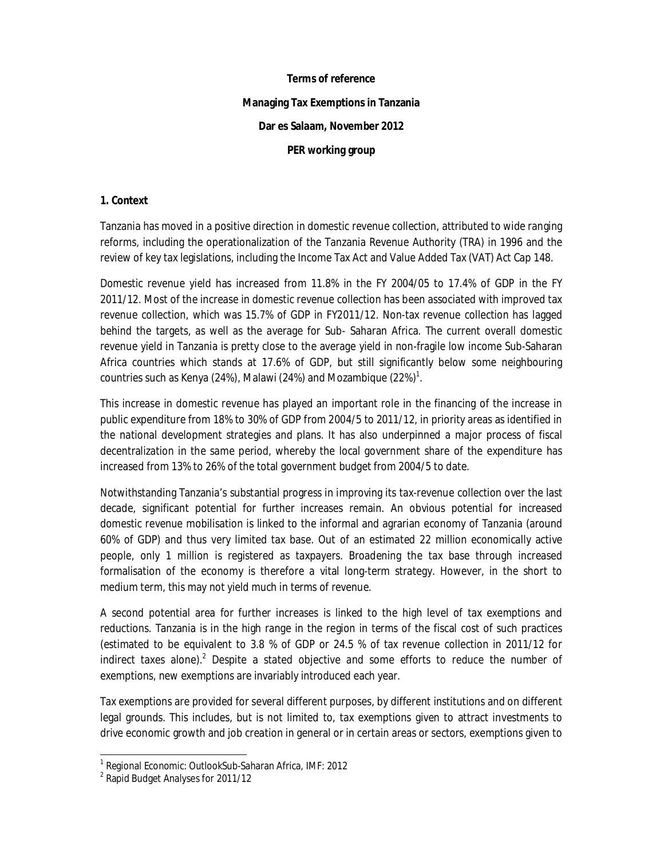# **Terms of reference**

#### **Managing Tax Exemptions in Tanzania**

### **Dar es Salaam, November 2012**

#### **PER working group**

#### **1. Context**

Tanzania has moved in a positive direction in domestic revenue collection, attributed to wide ranging reforms, including the operationalization of the Tanzania Revenue Authority (TRA) in 1996 and the review of key tax legislations, including the Income Tax Act and Value Added Tax (VAT) Act Cap 148.

Domestic revenue yield has increased from 11.8% in the FY 2004/05 to 17.4% of GDP in the FY 2011/12. Most of the increase in domestic revenue collection has been associated with improved tax revenue collection, which was 15.7% of GDP in FY2011/12. Non-tax revenue collection has lagged behind the targets, as well as the average for Sub- Saharan Africa. The current overall domestic revenue yield in Tanzania is pretty close to the average yield in non-fragile low income Sub-Saharan Africa countries which stands at 17.6% of GDP, but still significantly below some neighbouring countries such as Kenya (24%), Malawi (24%) and Mozambique (22%) $^{\rm 1}.$ 

This increase in domestic revenue has played an important role in the financing of the increase in public expenditure from 18% to 30% of GDP from 2004/5 to 2011/12, in priority areas as identified in the national development strategies and plans. It has also underpinned a major process of fiscal decentralization in the same period, whereby the local government share of the expenditure has increased from 13% to 26% of the total government budget from 2004/5 to date.

Notwithstanding Tanzania's substantial progress in improving its tax-revenue collection over the last decade, significant potential for further increases remain. An obvious potential for increased domestic revenue mobilisation is linked to the informal and agrarian economy of Tanzania (around 60% of GDP) and thus very limited tax base. Out of an estimated 22 million economically active people, only 1 million is registered as taxpayers. Broadening the tax base through increased formalisation of the economy is therefore a vital long-term strategy. However, in the short to medium term, this may not yield much in terms of revenue.

A second potential area for further increases is linked to the high level of tax exemptions and reductions. Tanzania is in the high range in the region in terms of the fiscal cost of such practices (estimated to be equivalent to 3.8 % of GDP or 24.5 % of tax revenue collection in 2011/12 for indirect taxes alone).<sup>2</sup> Despite a stated objective and some efforts to reduce the number of exemptions, new exemptions are invariably introduced each year.

Tax exemptions are provided for several different purposes, by different institutions and on different legal grounds. This includes, but is not limited to, tax exemptions given to attract investments to drive economic growth and job creation in general or in certain areas or sectors, exemptions given to

 1 Regional Economic: OutlookSub-Saharan Africa, IMF: 2012

<sup>&</sup>lt;sup>2</sup> Rapid Budget Analyses for 2011/12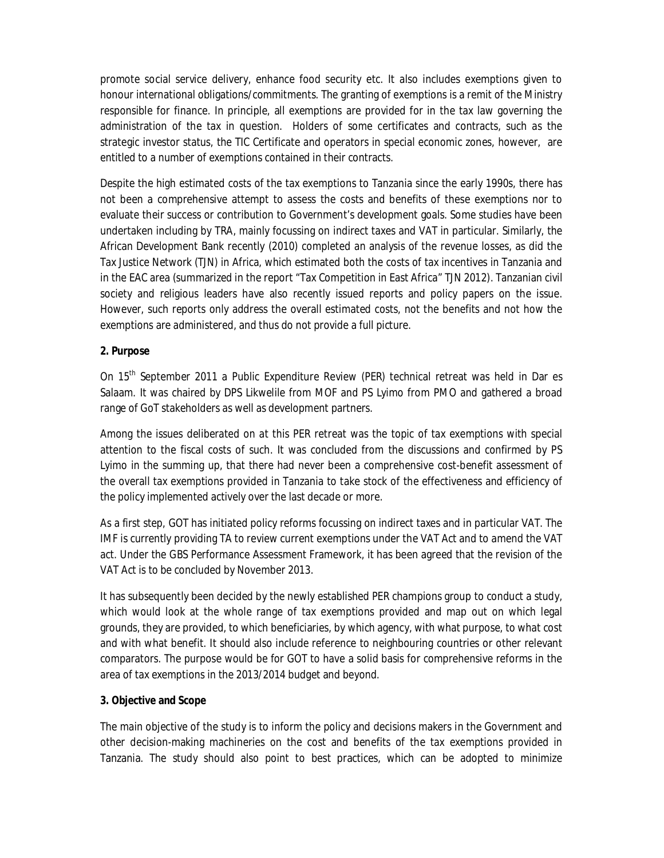promote social service delivery, enhance food security etc. It also includes exemptions given to honour international obligations/commitments. The granting of exemptions is a remit of the Ministry responsible for finance. In principle, all exemptions are provided for in the tax law governing the administration of the tax in question. Holders of some certificates and contracts, such as the strategic investor status, the TIC Certificate and operators in special economic zones, however, are entitled to a number of exemptions contained in their contracts.

Despite the high estimated costs of the tax exemptions to Tanzania since the early 1990s, there has not been a comprehensive attempt to assess the costs and benefits of these exemptions nor to evaluate their success or contribution to Government's development goals. Some studies have been undertaken including by TRA, mainly focussing on indirect taxes and VAT in particular. Similarly, the African Development Bank recently (2010) completed an analysis of the revenue losses, as did the Tax Justice Network (TJN) in Africa, which estimated both the costs of tax incentives in Tanzania and in the EAC area (summarized in the report "Tax Competition in East Africa" TJN 2012). Tanzanian civil society and religious leaders have also recently issued reports and policy papers on the issue. However, such reports only address the overall estimated costs, not the benefits and not how the exemptions are administered, and thus do not provide a full picture.

## **2. Purpose**

On 15<sup>th</sup> September 2011 a Public Expenditure Review (PER) technical retreat was held in Dar es Salaam. It was chaired by DPS Likwelile from MOF and PS Lyimo from PMO and gathered a broad range of GoT stakeholders as well as development partners.

Among the issues deliberated on at this PER retreat was the topic of tax exemptions with special attention to the fiscal costs of such. It was concluded from the discussions and confirmed by PS Lyimo in the summing up, that there had never been a comprehensive cost-benefit assessment of the overall tax exemptions provided in Tanzania to take stock of the effectiveness and efficiency of the policy implemented actively over the last decade or more.

As a first step, GOT has initiated policy reforms focussing on indirect taxes and in particular VAT. The IMF is currently providing TA to review current exemptions under the VAT Act and to amend the VAT act. Under the GBS Performance Assessment Framework, it has been agreed that the revision of the VAT Act is to be concluded by November 2013.

It has subsequently been decided by the newly established PER champions group to conduct a study, which would look at the whole range of tax exemptions provided and map out on which legal grounds, they are provided, to which beneficiaries, by which agency, with what purpose, to what cost and with what benefit. It should also include reference to neighbouring countries or other relevant comparators. The purpose would be for GOT to have a solid basis for comprehensive reforms in the area of tax exemptions in the 2013/2014 budget and beyond.

## **3. Objective and Scope**

The main objective of the study is to inform the policy and decisions makers in the Government and other decision-making machineries on the cost and benefits of the tax exemptions provided in Tanzania. The study should also point to best practices, which can be adopted to minimize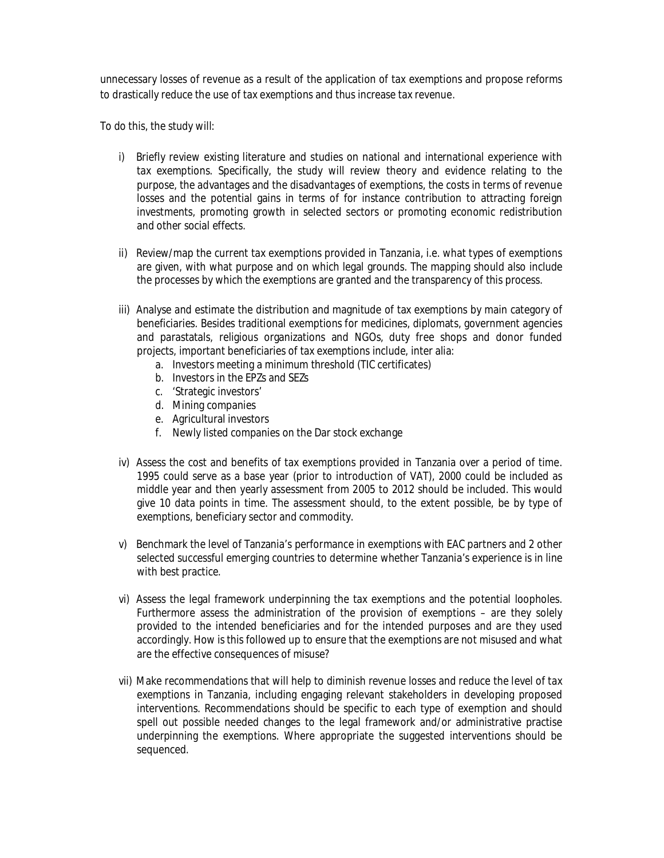unnecessary losses of revenue as a result of the application of tax exemptions and propose reforms to drastically reduce the use of tax exemptions and thus increase tax revenue.

To do this, the study will:

- i) Briefly review existing literature and studies on national and international experience with tax exemptions. Specifically, the study will review theory and evidence relating to the purpose, the advantages and the disadvantages of exemptions, the costs in terms of revenue losses and the potential gains in terms of for instance contribution to attracting foreign investments, promoting growth in selected sectors or promoting economic redistribution and other social effects.
- ii) Review/map the current tax exemptions provided in Tanzania, i.e. what types of exemptions are given, with what purpose and on which legal grounds. The mapping should also include the processes by which the exemptions are granted and the transparency of this process.
- iii) Analyse and estimate the distribution and magnitude of tax exemptions by main category of beneficiaries. Besides traditional exemptions for medicines, diplomats, government agencies and parastatals, religious organizations and NGOs, duty free shops and donor funded projects, important beneficiaries of tax exemptions include, inter alia:
	- a. Investors meeting a minimum threshold (TIC certificates)
	- b. Investors in the EPZs and SEZs
	- c. 'Strategic investors'
	- d. Mining companies
	- e. Agricultural investors
	- f. Newly listed companies on the Dar stock exchange
- iv) Assess the cost and benefits of tax exemptions provided in Tanzania over a period of time. 1995 could serve as a base year (prior to introduction of VAT), 2000 could be included as middle year and then yearly assessment from 2005 to 2012 should be included. This would give 10 data points in time. The assessment should, to the extent possible, be by type of exemptions, beneficiary sector and commodity.
- v) Benchmark the level of Tanzania's performance in exemptions with EAC partners and 2 other selected successful emerging countries to determine whether Tanzania's experience is in line with best practice.
- vi) Assess the legal framework underpinning the tax exemptions and the potential loopholes. Furthermore assess the administration of the provision of exemptions – are they solely provided to the intended beneficiaries and for the intended purposes and are they used accordingly. How is this followed up to ensure that the exemptions are not misused and what are the effective consequences of misuse?
- vii) Make recommendations that will help to diminish revenue losses and reduce the level of tax exemptions in Tanzania, including engaging relevant stakeholders in developing proposed interventions. Recommendations should be specific to each type of exemption and should spell out possible needed changes to the legal framework and/or administrative practise underpinning the exemptions. Where appropriate the suggested interventions should be sequenced.